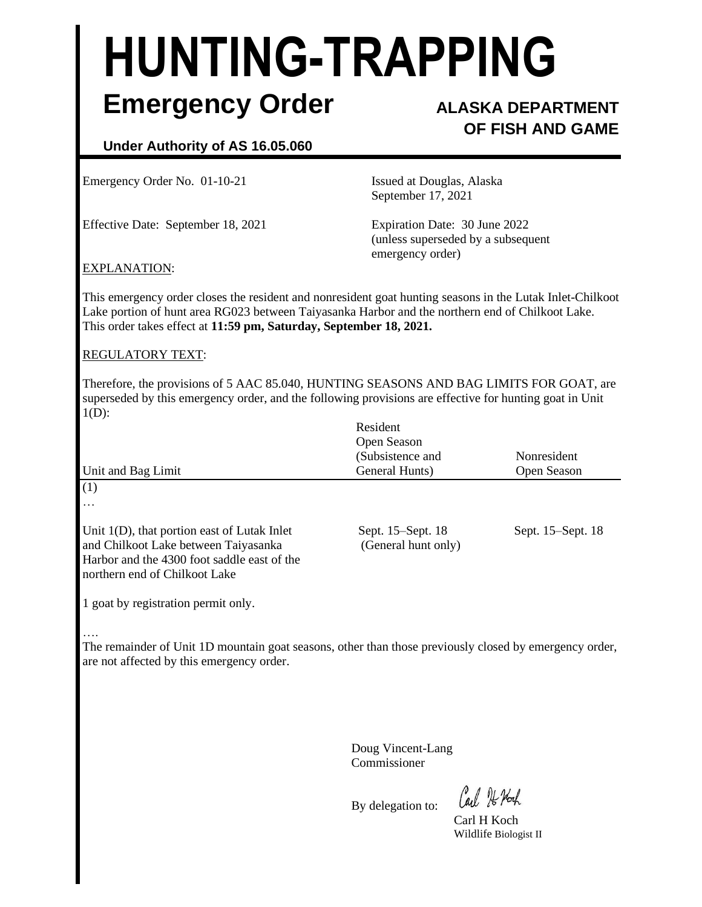# **HUNTING-TRAPPING Emergency Order ALASKA DEPARTMENT**

## **OF FISH AND GAME**

### **Under Authority of AS 16.05.060**

Emergency Order No. 01-10-21 Issued at Douglas, Alaska

Effective Date: September 18, 2021 Expiration Date: 30 June 2022

September 17, 2021

(unless superseded by a subsequent emergency order)

#### EXPLANATION:

This emergency order closes the resident and nonresident goat hunting seasons in the Lutak Inlet-Chilkoot Lake portion of hunt area RG023 between Taiyasanka Harbor and the northern end of Chilkoot Lake. This order takes effect at **11:59 pm, Saturday, September 18, 2021.**

#### REGULATORY TEXT:

Therefore, the provisions of 5 AAC 85.040, HUNTING SEASONS AND BAG LIMITS FOR GOAT, are superseded by this emergency order, and the following provisions are effective for hunting goat in Unit  $1(D)$ :

| Unit and Bag Limit                                                                                                                                                     | Resident<br>Open Season<br>(Subsistence and<br>General Hunts) | Nonresident<br>Open Season |
|------------------------------------------------------------------------------------------------------------------------------------------------------------------------|---------------------------------------------------------------|----------------------------|
| (1)<br>$\cdots$                                                                                                                                                        |                                                               |                            |
| Unit $1(D)$ , that portion east of Lutak Inlet<br>and Chilkoot Lake between Taiyasanka<br>Harbor and the 4300 foot saddle east of the<br>northern end of Chilkoot Lake | Sept. 15–Sept. 18<br>(General hunt only)                      | Sept. 15–Sept. 18          |

1 goat by registration permit only.

#### ….

The remainder of Unit 1D mountain goat seasons, other than those previously closed by emergency order, are not affected by this emergency order.

> Doug Vincent-Lang Commissioner

By delegation to:

Carl 7 Noch

Carl H Koch Wildlife Biologist II